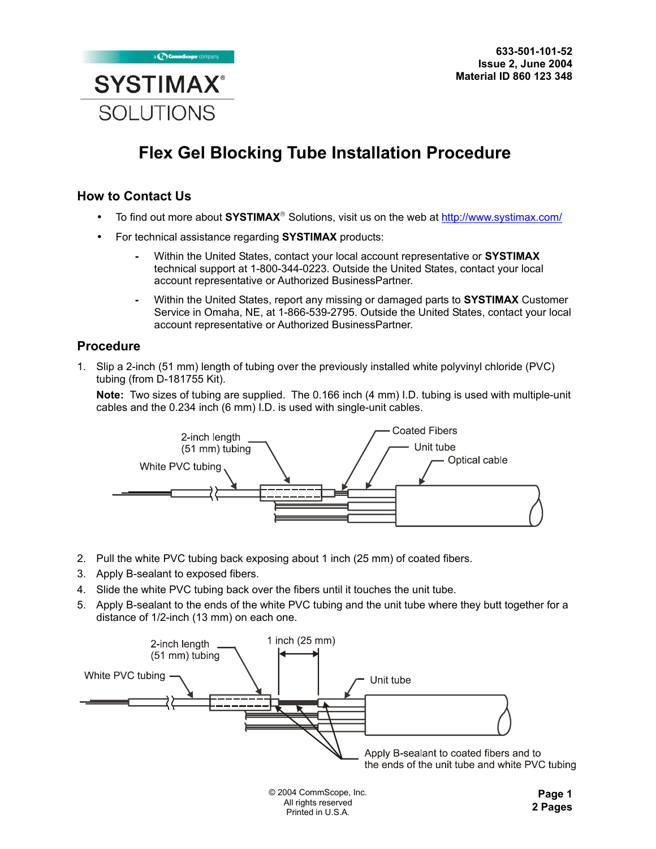

## **Flex Gel Blocking Tube Installation Procedure**

## **How to Contact Us**

- To find out more about **SYSTIMAX<sup>®</sup>** Solutions, visit us on the web at http://www.systimax.com/
- For technical assistance regarding **SYSTIMAX** products:
	- Within the United States, contact your local account representative or **SYSTIMAX** technical support at 1-800-344-0223. Outside the United States, contact your local account representative or Authorized BusinessPartner.
	- Within the United States, report any missing or damaged parts to **SYSTIMAX** Customer Service in Omaha, NE, at 1-866-539-2795. Outside the United States, contact your local account representative or Authorized BusinessPartner.

## **Procedure**

1. Slip a 2-inch (51 mm) length of tubing over the previously installed white polyvinyl chloride (PVC) tubing (from D-181755 Kit).

**Note:** Two sizes of tubing are supplied. The 0.166 inch (4 mm) I.D. tubing is used with multiple-unit cables and the 0.234 inch (6 mm) I.D. is used with single-unit cables.



- 2. Pull the white PVC tubing back exposing about 1 inch (25 mm) of coated fibers.
- 3. Apply B-sealant to exposed fibers.
- 4. Slide the white PVC tubing back over the fibers until it touches the unit tube.
- 5. Apply B-sealant to the ends of the white PVC tubing and the unit tube where they butt together for a distance of 1/2-inch (13 mm) on each one.